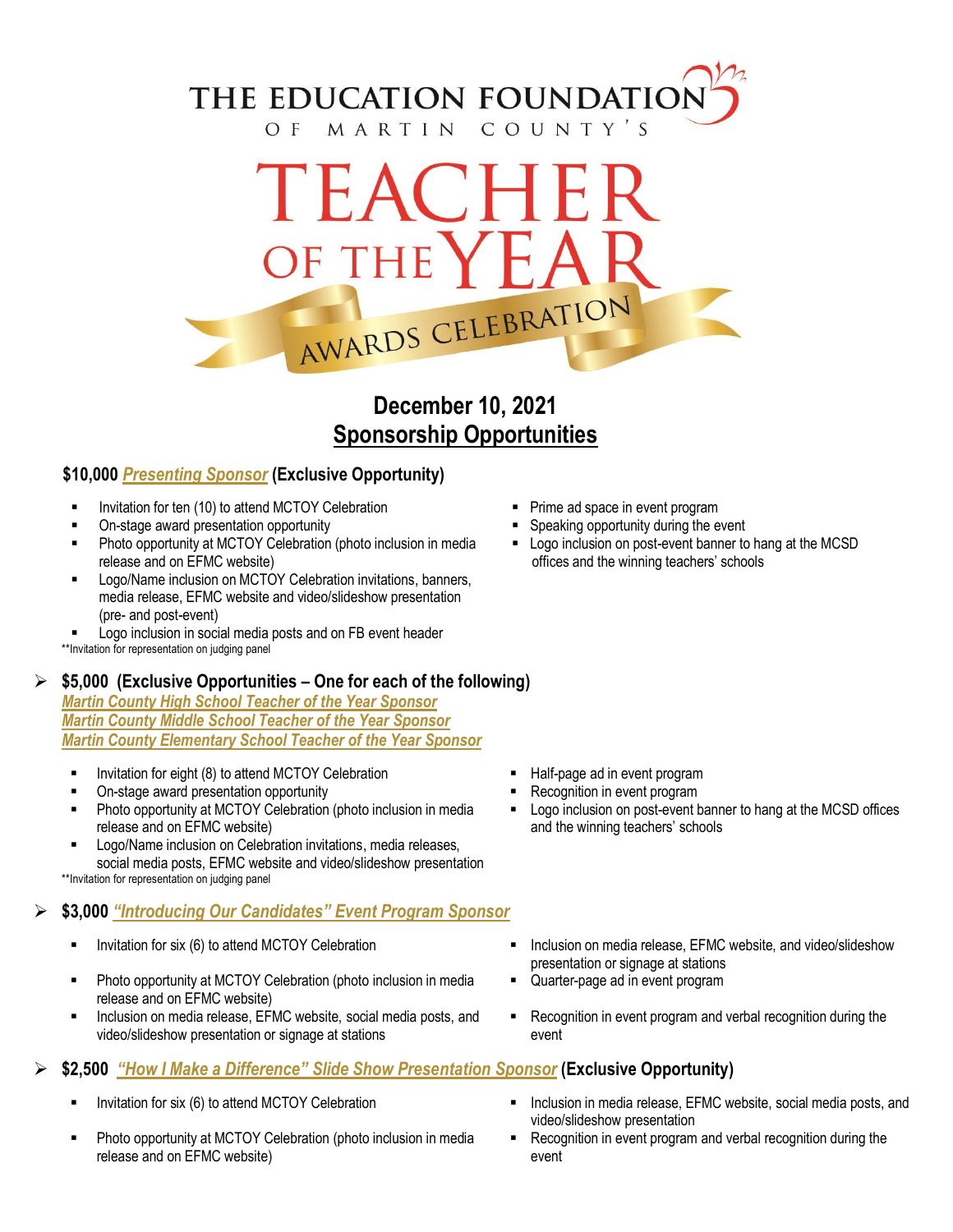## THE EDUCATION FOUNDATIO OF MARTIN COUNTY'S

# TEACHE OF THE AWARDS CELEBRATION

## **December 10, 2021 Sponsorship Opportunities**

#### **\$10,000** *Presenting Sponsor* **(Exclusive Opportunity)**

- Invitation for ten (10) to attend MCTOY Celebration **Prime ad space in event program**
- On-stage award presentation opportunity states of the Speaking opportunity during the event
- **Photo opportunity at MCTOY Celebration (photo inclusion in media** release and on EFMC website)
- Logo/Name inclusion on MCTOY Celebration invitations, banners, media release, EFMC website and video/slideshow presentation (pre- and post-event)
- Logo inclusion in social media posts and on FB event header \*\*Invitation for representation on judging panel

#### **\$5,000 (Exclusive Opportunities – One for each of the following)**

*Martin County High School Teacher of the Year Sponsor Martin County Middle School Teacher of the Year Sponsor Martin County Elementary School Teacher of the Year Sponsor* 

- Invitation for eight (8) to attend MCTOY Celebration **F** Half-page ad in event program
- On-stage award presentation opportunity **Recognition** in event program
- Photo opportunity at MCTOY Celebration (photo inclusion in media release and on EFMC website)
- Logo/Name inclusion on Celebration invitations, media releases, social media posts, EFMC website and video/slideshow presentation \*\*Invitation for representation on judging panel

### **\$3,000** *"Introducing Our Candidates" Event Program Sponsor*

- 
- Photo opportunity at MCTOY Celebration (photo inclusion in media release and on EFMC website)
- **Inclusion on media release, EFMC website, social media posts, and** video/slideshow presentation or signage at stations

## **\$2,500** *"How I Make a Difference" Slide Show Presentation Sponsor* **(Exclusive Opportunity)**

- 
- Photo opportunity at MCTOY Celebration (photo inclusion in media release and on EFMC website)
- 
- 
- **-** Logo inclusion on post-event banner to hang at the MCSD offices and the winning teachers' schools

- 
- 
- Logo inclusion on post-event banner to hang at the MCSD offices and the winning teachers' schools
- Invitation for six (6) to attend MCTOY Celebration **Inclusion Commedia release, EFMC website, and video/slideshow** presentation or signage at stations
	- Quarter-page ad in event program
	- **Recognition in event program and verbal recognition during the** event
	- Invitation for six (6) to attend MCTOY Celebration **Inclusion Fig. 3** Inclusion in media release, EFMC website, social media posts, and video/slideshow presentation
		- Recognition in event program and verbal recognition during the event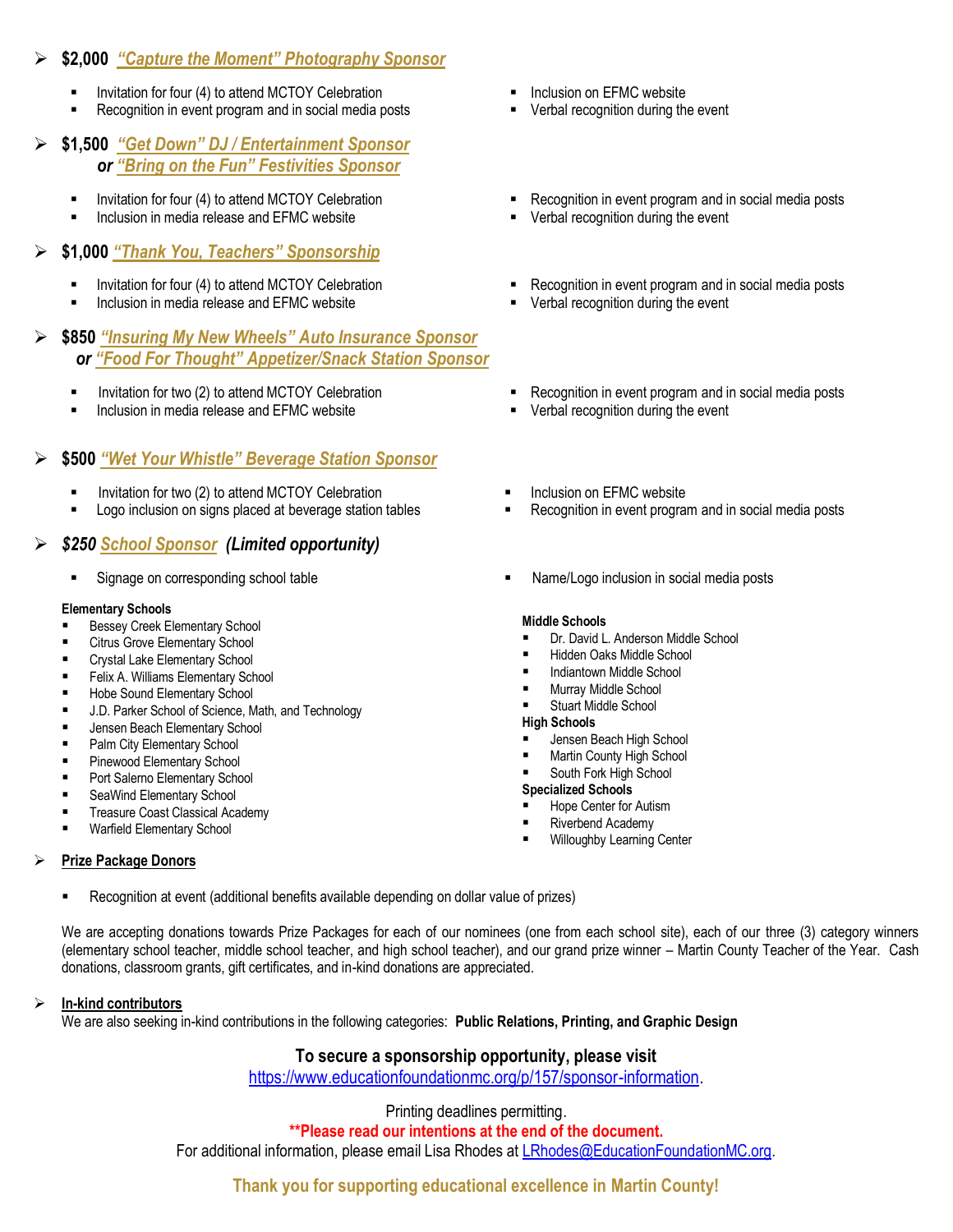#### **\$2,000** *"Capture the Moment" Photography Sponsor*

- Invitation for four (4) to attend MCTOY Celebration **Internation CELA COVERT** Inclusion on EFMC website
- Recognition in event program and in social media posts **•** Verbal recognition during the event

#### **\$1,500** *"Get Down" DJ / Entertainment Sponsor or "Bring on the Fun" Festivities Sponsor*

- 
- Inclusion in media release and EFMC website **Verbal recognition during the event** verbal recognition during the event

#### **\$1,000** *"Thank You, Teachers" Sponsorship*

- 
- Inclusion in media release and EFMC website **Verbal recognition during the event** verbal recognition during the event
- **\$850** *"Insuring My New Wheels" Auto Insurance Sponsor* *or "Food For Thought" Appetizer/Snack Station Sponsor*
	-
	- Inclusion in media release and EFMC website **Verbal recognition during the event**

#### **\$500** *"Wet Your Whistle" Beverage Station Sponsor*

- Invitation for two (2) to attend MCTOY Celebration **Inclusion on EFMC website** Inclusion on EFMC website
- **Logo inclusion on signs placed at beverage station tables**  Recognition in event program and in social media posts

#### *\$250 School Sponsor (Limited opportunity)*

#### **Elementary Schools**

- Bessey Creek Elementary School
- Citrus Grove Elementary School
- **EXECT** Crystal Lake Elementary School
- Felix A. Williams Elementary School
- **Hobe Sound Elementary School**
- J.D. Parker School of Science, Math, and Technology
- Jensen Beach Elementary School
- **Palm City Elementary School**
- Pinewood Elementary School
- Port Salerno Elementary School
- **EXEC** SeaWind Elementary School
- **Treasure Coast Classical Academy**
- **Warfield Elementary School**

#### **Prize Package Donors**

- Recognition at event (additional benefits available depending on dollar value of prizes)
- We are accepting donations towards Prize Packages for each of our nominees (one from each school site), each of our three (3) category winners (elementary school teacher, middle school teacher, and high school teacher), and our grand prize winner – Martin County Teacher of the Year. Cash donations, classroom grants, gift certificates, and in-kind donations are appreciated.

#### **In-kind contributors**

We are also seeking in-kind contributions in the following categories: **Public Relations, Printing, and Graphic Design**

#### **To secure a sponsorship opportunity, please visit**

[https://www.educationfoundationmc.org/p/157/sponsor-information.](https://www.educationfoundationmc.org/p/157/sponsor-information)

#### Printing deadlines permitting.

**\*\*Please read our intentions at the end of the document.**

For additional information, please email Lisa Rhodes at [LRhodes@EducationFoundationMC.org.](mailto:LRhodes@EducationFoundationMC.org)

#### **Thank you for supporting educational excellence in Martin County!**

- 
- 
- Invitation for four (4) to attend MCTOY Celebration **Recognition in event program and in social media posts** 
	-
	- Invitation for four (4) to attend MCTOY Celebration **Recognition in event program and in social media posts** 
		-
- Invitation for two (2) to attend MCTOY Celebration **Recognition in event program and in social media posts** 
	-
	-
	-
- Signage on corresponding school table Name/Logo inclusion in social media posts

#### **Middle Schools**

- Dr. David L. Anderson Middle School
- Hidden Oaks Middle School
- **Indiantown Middle School**
- Murray Middle School
- Stuart Middle School

#### **High Schools**

- Jensen Beach High School
- **Martin County High School**
- South Fork High School
- **Specialized Schools**
- Hope Center for Autism
- Riverbend Academy
- Willoughby Learning Center